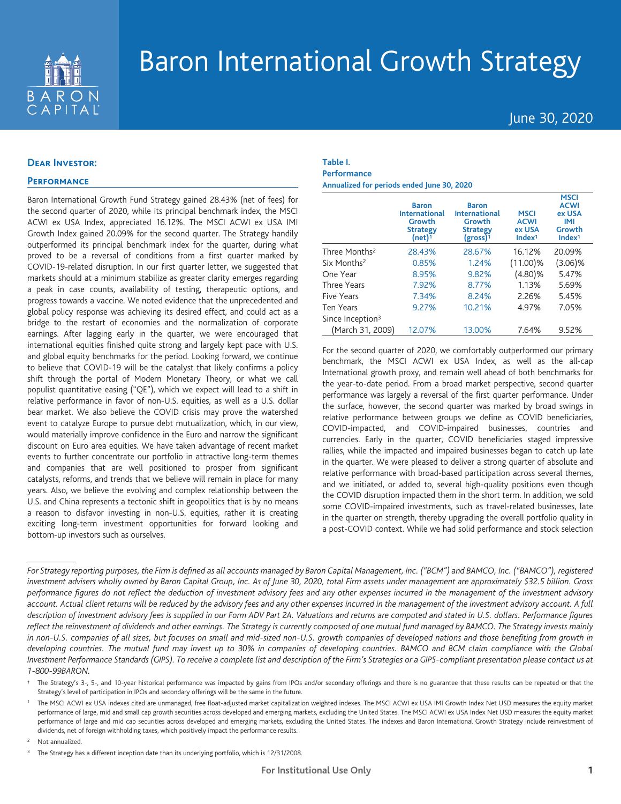

# Baron International Growth Strategy

June 30, 2020

# **Dear Investor:**

# **Performance**

Baron International Growth Fund Strategy gained 28.43% (net of fees) for the second quarter of 2020, while its principal benchmark index, the MSCI ACWI ex USA Index, appreciated 16.12%. The MSCI ACWI ex USA IMI Growth Index gained 20.09% for the second quarter. The Strategy handily outperformed its principal benchmark index for the quarter, during what proved to be a reversal of conditions from a first quarter marked by COVID-19-related disruption. In our first quarter letter, we suggested that markets should at a minimum stabilize as greater clarity emerges regarding a peak in case counts, availability of testing, therapeutic options, and progress towards a vaccine. We noted evidence that the unprecedented and global policy response was achieving its desired effect, and could act as a bridge to the restart of economies and the normalization of corporate earnings. After lagging early in the quarter, we were encouraged that international equities finished quite strong and largely kept pace with U.S. and global equity benchmarks for the period. Looking forward, we continue to believe that COVID-19 will be the catalyst that likely confirms a policy shift through the portal of Modern Monetary Theory, or what we call populist quantitative easing ("QE"), which we expect will lead to a shift in relative performance in favor of non-U.S. equities, as well as a U.S. dollar bear market. We also believe the COVID crisis may prove the watershed event to catalyze Europe to pursue debt mutualization, which, in our view, would materially improve confidence in the Euro and narrow the significant discount on Euro area equities. We have taken advantage of recent market events to further concentrate our portfolio in attractive long-term themes and companies that are well positioned to prosper from significant catalysts, reforms, and trends that we believe will remain in place for many years. Also, we believe the evolving and complex relationship between the U.S. and China represents a tectonic shift in geopolitics that is by no means a reason to disfavor investing in non-U.S. equities, rather it is creating exciting long-term investment opportunities for forward looking and bottom-up investors such as ourselves.

## **Table I. Performance Annualized for periods ended June 30, 2020**

|                              | <b>Baron</b><br><b>International</b><br>Growth<br><b>Strategy</b><br>(net) <sup>1</sup> | <b>Baron</b><br><b>International</b><br>Growth<br><b>Strategy</b><br>$(gross)^1$ | <b>MSCI</b><br><b>ACWI</b><br>ex USA<br>Index <sup>1</sup> | <b>MSCI</b><br><b>ACWI</b><br>ex USA<br>IMI<br>Growth<br>Index <sup>1</sup> |
|------------------------------|-----------------------------------------------------------------------------------------|----------------------------------------------------------------------------------|------------------------------------------------------------|-----------------------------------------------------------------------------|
| Three Months <sup>2</sup>    | 28.43%                                                                                  | 28.67%                                                                           | 16.12%                                                     | 20.09%                                                                      |
| Six Months <sup>2</sup>      | 0.85%                                                                                   | 1.24%                                                                            | $(11.00)\%$                                                | $(3.06)\%$                                                                  |
| One Year                     | 8.95%                                                                                   | 9.82%                                                                            | $(4.80)\%$                                                 | 5.47%                                                                       |
| <b>Three Years</b>           | 7.92%                                                                                   | 8.77%                                                                            | 1.13%                                                      | 5.69%                                                                       |
| Five Years                   | 7.34%                                                                                   | 8.24%                                                                            | 2.26%                                                      | 5.45%                                                                       |
| <b>Ten Years</b>             | 9.27%                                                                                   | 10.21%                                                                           | 4.97%                                                      | 7.05%                                                                       |
| Since Inception <sup>3</sup> |                                                                                         |                                                                                  |                                                            |                                                                             |
| (March 31, 2009)             | 12.07%                                                                                  | 13.00%                                                                           | 7.64%                                                      | 9.52%                                                                       |

For the second quarter of 2020, we comfortably outperformed our primary benchmark, the MSCI ACWI ex USA Index, as well as the all-cap International growth proxy, and remain well ahead of both benchmarks for the year-to-date period. From a broad market perspective, second quarter performance was largely a reversal of the first quarter performance. Under the surface, however, the second quarter was marked by broad swings in relative performance between groups we define as COVID beneficiaries, COVID-impacted, and COVID-impaired businesses, countries and currencies. Early in the quarter, COVID beneficiaries staged impressive rallies, while the impacted and impaired businesses began to catch up late in the quarter. We were pleased to deliver a strong quarter of absolute and relative performance with broad-based participation across several themes, and we initiated, or added to, several high-quality positions even though the COVID disruption impacted them in the short term. In addition, we sold some COVID-impaired investments, such as travel-related businesses, late in the quarter on strength, thereby upgrading the overall portfolio quality in a post-COVID context. While we had solid performance and stock selection

<sup>2</sup> Not annualized.

*For Strategy reporting purposes, the Firm is defined as all accounts managed by Baron Capital Management, Inc. ("BCM") and BAMCO, Inc. ("BAMCO"), registered investment advisers wholly owned by Baron Capital Group, Inc. As of June 30, 2020, total Firm assets under management are approximately \$32.5 billion. Gross performance figures do not reflect the deduction of investment advisory fees and any other expenses incurred in the management of the investment advisory account. Actual client returns will be reduced by the advisory fees and any other expenses incurred in the management of the investment advisory account. A full description of investment advisory fees is supplied in our Form ADV Part 2A. Valuations and returns are computed and stated in U.S. dollars. Performance figures reflect the reinvestment of dividends and other earnings. The Strategy is currently composed of one mutual fund managed by BAMCO. The Strategy invests mainly in non-U.S. companies of all sizes, but focuses on small and mid-sized non-U.S. growth companies of developed nations and those benefiting from growth in developing countries. The mutual fund may invest up to 30% in companies of developing countries. BAMCO and BCM claim compliance with the Global Investment Performance Standards (GIPS). To receive a complete list and description of the Firm's Strategies or a GIPS-compliant presentation please contact us at 1-800-99BARON.*

The Strategy's 3-, 5-, and 10-year historical performance was impacted by gains from IPOs and/or secondary offerings and there is no guarantee that these results can be repeated or that the Strategy's level of participation in IPOs and secondary offerings will be the same in the future.

<sup>1</sup> The MSCI ACWI ex USA indexes cited are unmanaged, free float-adjusted market capitalization weighted indexes. The MSCI ACWI ex USA IMI Growth Index Net USD measures the equity market performance of large, mid and small cap growth securities across developed and emerging markets, excluding the United States. The MSCI ACWI ex USA Index Net USD measures the equity market performance of large and mid cap securities across developed and emerging markets, excluding the United States. The indexes and Baron International Growth Strategy include reinvestment of dividends, net of foreign withholding taxes, which positively impact the performance results.

<sup>&</sup>lt;sup>3</sup> The Strategy has a different inception date than its underlying portfolio, which is 12/31/2008.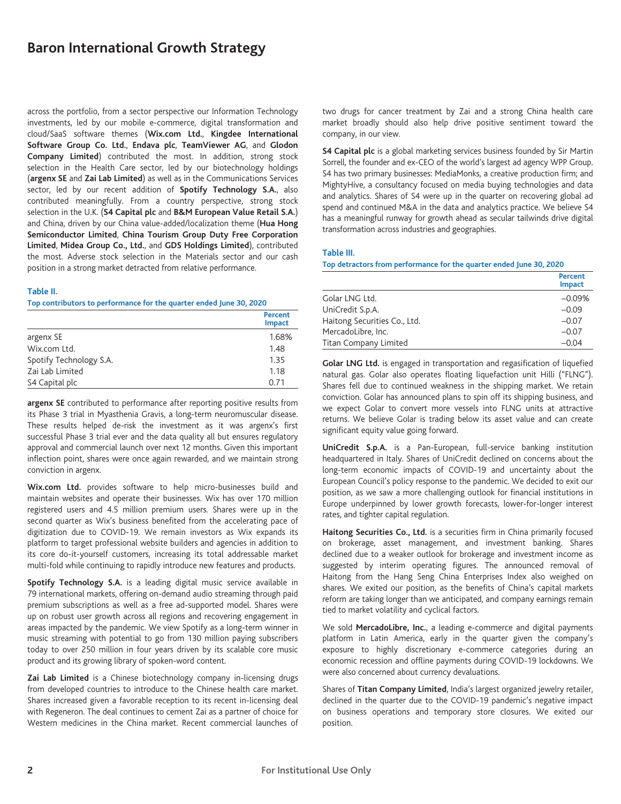# **Baron International Growth Strategy**

across the portfolio, from a sector perspective our Information Technology investments, led by our mobile e-commerce, digital transformation and cloud/SaaS software themes (**Wix.com Ltd.**, **Kingdee International Software Group Co. Ltd.**, **Endava plc**, **TeamViewer AG**, and **Glodon Company Limited**) contributed the most. In addition, strong stock selection in the Health Care sector, led by our biotechnology holdings (**argenx SE** and **Zai Lab Limited**) as well as in the Communications Services sector, led by our recent addition of **Spotify Technology S.A.**, also contributed meaningfully. From a country perspective, strong stock selection in the U.K. (**S4 Capital plc** and **B&M European Value Retail S.A.**) and China, driven by our China value-added/localization theme (**Hua Hong Semiconductor Limited**, **China Tourism Group Duty Free Corporation Limited**, **Midea Group Co., Ltd.**, and **GDS Holdings Limited**), contributed the most. Adverse stock selection in the Materials sector and our cash position in a strong market detracted from relative performance.

#### **Table II.**

**Top contributors to performance for the quarter ended June 30, 2020**

|                         | Percent<br><b>Impact</b> |
|-------------------------|--------------------------|
| argenx SE               | 1.68%                    |
| Wix.com Ltd.            | 1.48                     |
| Spotify Technology S.A. | 1.35                     |
| Zai Lab Limited         | 1.18                     |
| S4 Capital plc          | 0.71                     |

**argenx SE** contributed to performance after reporting positive results from its Phase 3 trial in Myasthenia Gravis, a long-term neuromuscular disease. These results helped de-risk the investment as it was argenx's first successful Phase 3 trial ever and the data quality all but ensures regulatory approval and commercial launch over next 12 months. Given this important inflection point, shares were once again rewarded, and we maintain strong conviction in argenx.

**Wix.com Ltd.** provides software to help micro-businesses build and maintain websites and operate their businesses. Wix has over 170 million registered users and 4.5 million premium users. Shares were up in the second quarter as Wix's business benefited from the accelerating pace of digitization due to COVID-19. We remain investors as Wix expands its platform to target professional website builders and agencies in addition to its core do-it-yourself customers, increasing its total addressable market multi-fold while continuing to rapidly introduce new features and products.

**Spotify Technology S.A.** is a leading digital music service available in 79 international markets, offering on-demand audio streaming through paid premium subscriptions as well as a free ad-supported model. Shares were up on robust user growth across all regions and recovering engagement in areas impacted by the pandemic. We view Spotify as a long-term winner in music streaming with potential to go from 130 million paying subscribers today to over 250 million in four years driven by its scalable core music product and its growing library of spoken-word content.

**Zai Lab Limited** is a Chinese biotechnology company in-licensing drugs from developed countries to introduce to the Chinese health care market. Shares increased given a favorable reception to its recent in-licensing deal with Regeneron. The deal continues to cement Zai as a partner of choice for Western medicines in the China market. Recent commercial launches of two drugs for cancer treatment by Zai and a strong China health care market broadly should also help drive positive sentiment toward the company, in our view.

**S4 Capital plc** is a global marketing services business founded by Sir Martin Sorrell, the founder and ex-CEO of the world's largest ad agency WPP Group. S4 has two primary businesses: MediaMonks, a creative production firm; and MightyHive, a consultancy focused on media buying technologies and data and analytics. Shares of S4 were up in the quarter on recovering global ad spend and continued M&A in the data and analytics practice. We believe S4 has a meaningful runway for growth ahead as secular tailwinds drive digital transformation across industries and geographies.

#### **Table III.**

**Top detractors from performance for the quarter ended June 30, 2020**

|                              | Percent<br><b>Impact</b> |
|------------------------------|--------------------------|
| Golar LNG Ltd.               | $-0.09%$                 |
| UniCredit S.p.A.             | $-0.09$                  |
| Haitong Securities Co., Ltd. | $-0.07$                  |
| MercadoLibre, Inc.           | $-0.07$                  |
| Titan Company Limited        | $-0.04$                  |

**Golar LNG Ltd.** is engaged in transportation and regasification of liquefied natural gas. Golar also operates floating liquefaction unit Hilli ("FLNG"). Shares fell due to continued weakness in the shipping market. We retain conviction. Golar has announced plans to spin off its shipping business, and we expect Golar to convert more vessels into FLNG units at attractive returns. We believe Golar is trading below its asset value and can create significant equity value going forward.

**UniCredit S.p.A.** is a Pan-European, full-service banking institution headquartered in Italy. Shares of UniCredit declined on concerns about the long-term economic impacts of COVID-19 and uncertainty about the European Council's policy response to the pandemic. We decided to exit our position, as we saw a more challenging outlook for financial institutions in Europe underpinned by lower growth forecasts, lower-for-longer interest rates, and tighter capital regulation.

**Haitong Securities Co., Ltd.** is a securities firm in China primarily focused on brokerage, asset management, and investment banking. Shares declined due to a weaker outlook for brokerage and investment income as suggested by interim operating figures. The announced removal of Haitong from the Hang Seng China Enterprises Index also weighed on shares. We exited our position, as the benefits of China's capital markets reform are taking longer than we anticipated, and company earnings remain tied to market volatility and cyclical factors.

We sold **MercadoLibre, Inc.**, a leading e-commerce and digital payments platform in Latin America, early in the quarter given the company's exposure to highly discretionary e-commerce categories during an economic recession and offline payments during COVID-19 lockdowns. We were also concerned about currency devaluations.

Shares of **Titan Company Limited**, India's largest organized jewelry retailer, declined in the quarter due to the COVID-19 pandemic's negative impact on business operations and temporary store closures. We exited our position.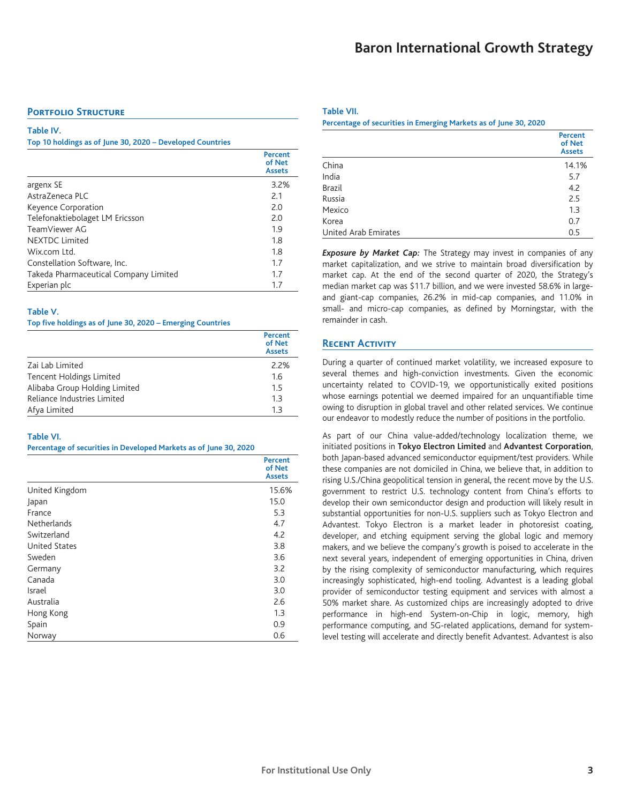## **PORTFOLIO STRUCTURE**

#### **Table IV.**

**Top 10 holdings as of June 30, 2020 – Developed Countries**

|                                       | Percent<br>of Net<br><b>Assets</b> |
|---------------------------------------|------------------------------------|
| argenx SE                             | 3.2%                               |
| AstraZeneca PLC                       | 2.1                                |
| Keyence Corporation                   | 7.0                                |
| Telefonaktiebolaget LM Ericsson       | 2.0                                |
| TeamViewer AG                         | 1.9                                |
| <b>NEXTDC Limited</b>                 | 1.8                                |
| Wix.com Ltd.                          | 1.8                                |
| Constellation Software, Inc.          | 1.7                                |
| Takeda Pharmaceutical Company Limited | 1.7                                |
| Experian plc                          | 1.7                                |

## **Table V.**

**Top five holdings as of June 30, 2020 – Emerging Countries**

|                               | <b>Percent</b><br>of Net<br><b>Assets</b> |
|-------------------------------|-------------------------------------------|
| Zai Lab Limited               | 2.2%                                      |
| Tencent Holdings Limited      | 1.6                                       |
| Alibaba Group Holding Limited | 1.5                                       |
| Reliance Industries Limited   | 1.3                                       |
| Afya Limited                  | 13                                        |

#### **Table VI.**

**Percentage of securities in Developed Markets as of June 30, 2020**

|                      | <b>Percent</b><br>of Net<br><b>Assets</b> |
|----------------------|-------------------------------------------|
| United Kingdom       | 15.6%                                     |
| Japan                | 15.0                                      |
| France               | 5.3                                       |
| Netherlands          | 4.7                                       |
| Switzerland          | 4.2                                       |
| <b>United States</b> | 3.8                                       |
| Sweden               | 3.6                                       |
| Germany              | 3.2                                       |
| Canada               | 3.0                                       |
| Israel               | 3.0                                       |
| Australia            | 2.6                                       |
| Hong Kong            | 1.3                                       |
| Spain                | 0.9                                       |
| Norway               | 0.6                                       |

#### **Table VII.**

**Percentage of securities in Emerging Markets as of June 30, 2020**

|                      | <b>Percent</b><br>of Net<br><b>Assets</b> |
|----------------------|-------------------------------------------|
| China                | 14.1%                                     |
| India                | 5.7                                       |
| <b>Brazil</b>        | 4.2                                       |
| Russia               | 2.5                                       |
| Mexico               | 1.3                                       |
| Korea                | 0.7                                       |
| United Arab Emirates | 0.5                                       |

*Exposure by Market Cap:* The Strategy may invest in companies of any market capitalization, and we strive to maintain broad diversification by market cap. At the end of the second quarter of 2020, the Strategy's median market cap was \$11.7 billion, and we were invested 58.6% in largeand giant-cap companies, 26.2% in mid-cap companies, and 11.0% in small- and micro-cap companies, as defined by Morningstar, with the remainder in cash.

## **Recent Activity**

During a quarter of continued market volatility, we increased exposure to several themes and high-conviction investments. Given the economic uncertainty related to COVID-19, we opportunistically exited positions whose earnings potential we deemed impaired for an unquantifiable time owing to disruption in global travel and other related services. We continue our endeavor to modestly reduce the number of positions in the portfolio.

As part of our China value-added/technology localization theme, we initiated positions in **Tokyo Electron Limited** and **Advantest Corporation**, both Japan-based advanced semiconductor equipment/test providers. While these companies are not domiciled in China, we believe that, in addition to rising U.S./China geopolitical tension in general, the recent move by the U.S. government to restrict U.S. technology content from China's efforts to develop their own semiconductor design and production will likely result in substantial opportunities for non-U.S. suppliers such as Tokyo Electron and Advantest. Tokyo Electron is a market leader in photoresist coating, developer, and etching equipment serving the global logic and memory makers, and we believe the company's growth is poised to accelerate in the next several years, independent of emerging opportunities in China, driven by the rising complexity of semiconductor manufacturing, which requires increasingly sophisticated, high-end tooling. Advantest is a leading global provider of semiconductor testing equipment and services with almost a 50% market share. As customized chips are increasingly adopted to drive performance in high-end System-on-Chip in logic, memory, high performance computing, and 5G-related applications, demand for systemlevel testing will accelerate and directly benefit Advantest. Advantest is also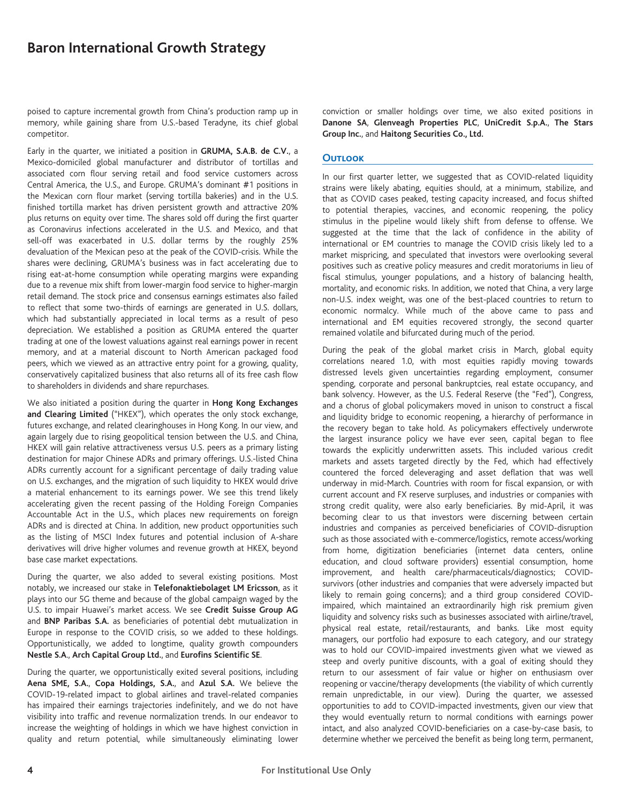poised to capture incremental growth from China's production ramp up in memory, while gaining share from U.S.-based Teradyne, its chief global competitor.

Early in the quarter, we initiated a position in **GRUMA, S.A.B. de C.V.**, a Mexico-domiciled global manufacturer and distributor of tortillas and associated corn flour serving retail and food service customers across Central America, the U.S., and Europe. GRUMA's dominant #1 positions in the Mexican corn flour market (serving tortilla bakeries) and in the U.S. finished tortilla market has driven persistent growth and attractive 20% plus returns on equity over time. The shares sold off during the first quarter as Coronavirus infections accelerated in the U.S. and Mexico, and that sell-off was exacerbated in U.S. dollar terms by the roughly 25% devaluation of the Mexican peso at the peak of the COVID-crisis. While the shares were declining, GRUMA's business was in fact accelerating due to rising eat-at-home consumption while operating margins were expanding due to a revenue mix shift from lower-margin food service to higher-margin retail demand. The stock price and consensus earnings estimates also failed to reflect that some two-thirds of earnings are generated in U.S. dollars, which had substantially appreciated in local terms as a result of peso depreciation. We established a position as GRUMA entered the quarter trading at one of the lowest valuations against real earnings power in recent memory, and at a material discount to North American packaged food peers, which we viewed as an attractive entry point for a growing, quality, conservatively capitalized business that also returns all of its free cash flow to shareholders in dividends and share repurchases.

We also initiated a position during the quarter in **Hong Kong Exchanges and Clearing Limited** ("HKEX"), which operates the only stock exchange, futures exchange, and related clearinghouses in Hong Kong. In our view, and again largely due to rising geopolitical tension between the U.S. and China, HKEX will gain relative attractiveness versus U.S. peers as a primary listing destination for major Chinese ADRs and primary offerings. U.S.-listed China ADRs currently account for a significant percentage of daily trading value on U.S. exchanges, and the migration of such liquidity to HKEX would drive a material enhancement to its earnings power. We see this trend likely accelerating given the recent passing of the Holding Foreign Companies Accountable Act in the U.S., which places new requirements on foreign ADRs and is directed at China. In addition, new product opportunities such as the listing of MSCI Index futures and potential inclusion of A-share derivatives will drive higher volumes and revenue growth at HKEX, beyond base case market expectations.

During the quarter, we also added to several existing positions. Most notably, we increased our stake in **Telefonaktiebolaget LM Ericsson**, as it plays into our 5G theme and because of the global campaign waged by the U.S. to impair Huawei's market access. We see **Credit Suisse Group AG** and **BNP Paribas S.A.** as beneficiaries of potential debt mutualization in Europe in response to the COVID crisis, so we added to these holdings. Opportunistically, we added to longtime, quality growth compounders **Nestle S.A**., **Arch Capital Group Ltd.**, and **Eurofins Scientific SE**.

During the quarter, we opportunistically exited several positions, including **Aena SME, S.A.**, **Copa Holdings, S.A.**, and **Azul S.A.** We believe the COVID-19-related impact to global airlines and travel-related companies has impaired their earnings trajectories indefinitely, and we do not have visibility into traffic and revenue normalization trends. In our endeavor to increase the weighting of holdings in which we have highest conviction in quality and return potential, while simultaneously eliminating lower

conviction or smaller holdings over time, we also exited positions in **Danone SA**, **Glenveagh Properties PLC**, **UniCredit S.p.A.**, **The Stars Group Inc.**, and **Haitong Securities Co., Ltd.**

## **Outlook**

In our first quarter letter, we suggested that as COVID-related liquidity strains were likely abating, equities should, at a minimum, stabilize, and that as COVID cases peaked, testing capacity increased, and focus shifted to potential therapies, vaccines, and economic reopening, the policy stimulus in the pipeline would likely shift from defense to offense. We suggested at the time that the lack of confidence in the ability of international or EM countries to manage the COVID crisis likely led to a market mispricing, and speculated that investors were overlooking several positives such as creative policy measures and credit moratoriums in lieu of fiscal stimulus, younger populations, and a history of balancing health, mortality, and economic risks. In addition, we noted that China, a very large non-U.S. index weight, was one of the best-placed countries to return to economic normalcy. While much of the above came to pass and international and EM equities recovered strongly, the second quarter remained volatile and bifurcated during much of the period.

During the peak of the global market crisis in March, global equity correlations neared 1.0, with most equities rapidly moving towards distressed levels given uncertainties regarding employment, consumer spending, corporate and personal bankruptcies, real estate occupancy, and bank solvency. However, as the U.S. Federal Reserve (the "Fed"), Congress, and a chorus of global policymakers moved in unison to construct a fiscal and liquidity bridge to economic reopening, a hierarchy of performance in the recovery began to take hold. As policymakers effectively underwrote the largest insurance policy we have ever seen, capital began to flee towards the explicitly underwritten assets. This included various credit markets and assets targeted directly by the Fed, which had effectively countered the forced deleveraging and asset deflation that was well underway in mid-March. Countries with room for fiscal expansion, or with current account and FX reserve surpluses, and industries or companies with strong credit quality, were also early beneficiaries. By mid-April, it was becoming clear to us that investors were discerning between certain industries and companies as perceived beneficiaries of COVID-disruption such as those associated with e-commerce/logistics, remote access/working from home, digitization beneficiaries (internet data centers, online education, and cloud software providers) essential consumption, home improvement, and health care/pharmaceuticals/diagnostics; COVIDsurvivors (other industries and companies that were adversely impacted but likely to remain going concerns); and a third group considered COVIDimpaired, which maintained an extraordinarily high risk premium given liquidity and solvency risks such as businesses associated with airline/travel, physical real estate, retail/restaurants, and banks. Like most equity managers, our portfolio had exposure to each category, and our strategy was to hold our COVID-impaired investments given what we viewed as steep and overly punitive discounts, with a goal of exiting should they return to our assessment of fair value or higher on enthusiasm over reopening or vaccine/therapy developments (the viability of which currently remain unpredictable, in our view). During the quarter, we assessed opportunities to add to COVID-impacted investments, given our view that they would eventually return to normal conditions with earnings power intact, and also analyzed COVID-beneficiaries on a case-by-case basis, to determine whether we perceived the benefit as being long term, permanent,